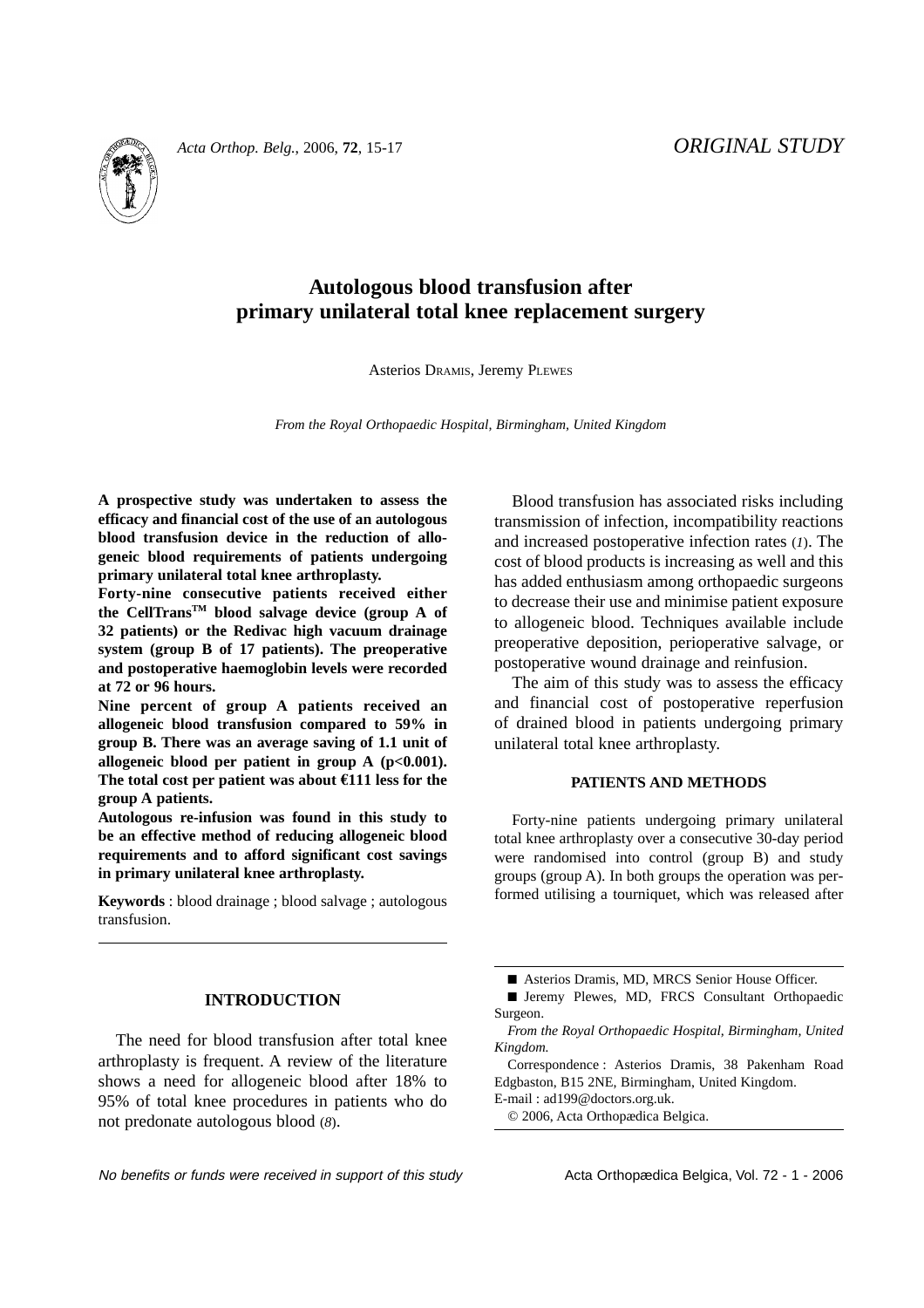

# **Autologous blood transfusion after**

**primary unilateral total knee replacement surgery**

Asterios DRAMIS, Jeremy PLEWES

*From the Royal Orthopaedic Hospital, Birmingham, United Kingdom*

**A prospective study was undertaken to assess the efficacy and financial cost of the use of an autologous blood transfusion device in the reduction of allogeneic blood requirements of patients undergoing primary unilateral total knee arthroplasty.** 

**Forty-nine consecutive patients received either the CellTransTM blood salvage device (group A of 32 patients) or the Redivac high vacuum drainage system (group B of 17 patients). The preoperative and postoperative haemoglobin levels were recorded at 72 or 96 hours.** 

**Nine percent of group A patients received an allogeneic blood transfusion compared to 59% in group B. There was an average saving of 1.1 unit of allogeneic blood per patient in group A (p<0.001). The total cost per patient was about €111 less for the group A patients.** 

**Autologous re-infusion was found in this study to be an effective method of reducing allogeneic blood requirements and to afford significant cost savings in primary unilateral knee arthroplasty.** 

**Keywords** : blood drainage ; blood salvage ; autologous transfusion.

## **INTRODUCTION**

The need for blood transfusion after total knee arthroplasty is frequent. A review of the literature shows a need for allogeneic blood after 18% to 95% of total knee procedures in patients who do not predonate autologous blood (*8*).

Blood transfusion has associated risks including transmission of infection, incompatibility reactions and increased postoperative infection rates (*1*). The cost of blood products is increasing as well and this has added enthusiasm among orthopaedic surgeons to decrease their use and minimise patient exposure to allogeneic blood. Techniques available include preoperative deposition, perioperative salvage, or postoperative wound drainage and reinfusion.

The aim of this study was to assess the efficacy and financial cost of postoperative reperfusion of drained blood in patients undergoing primary unilateral total knee arthroplasty.

### **PATIENTS AND METHODS**

Forty-nine patients undergoing primary unilateral total knee arthroplasty over a consecutive 30-day period were randomised into control (group B) and study groups (group A). In both groups the operation was performed utilising a tourniquet, which was released after

Correspondence : Asterios Dramis, 38 Pakenham Road Edgbaston, B15 2NE, Birmingham, United Kingdom.

E-mail : ad199@doctors.org.uk.

<sup>■</sup> Asterios Dramis, MD, MRCS Senior House Officer.

<sup>■</sup> Jeremy Plewes, MD, FRCS Consultant Orthopaedic Surgeon.

*From the Royal Orthopaedic Hospital, Birmingham, United Kingdom.*

<sup>© 2006,</sup> Acta Orthopædica Belgica.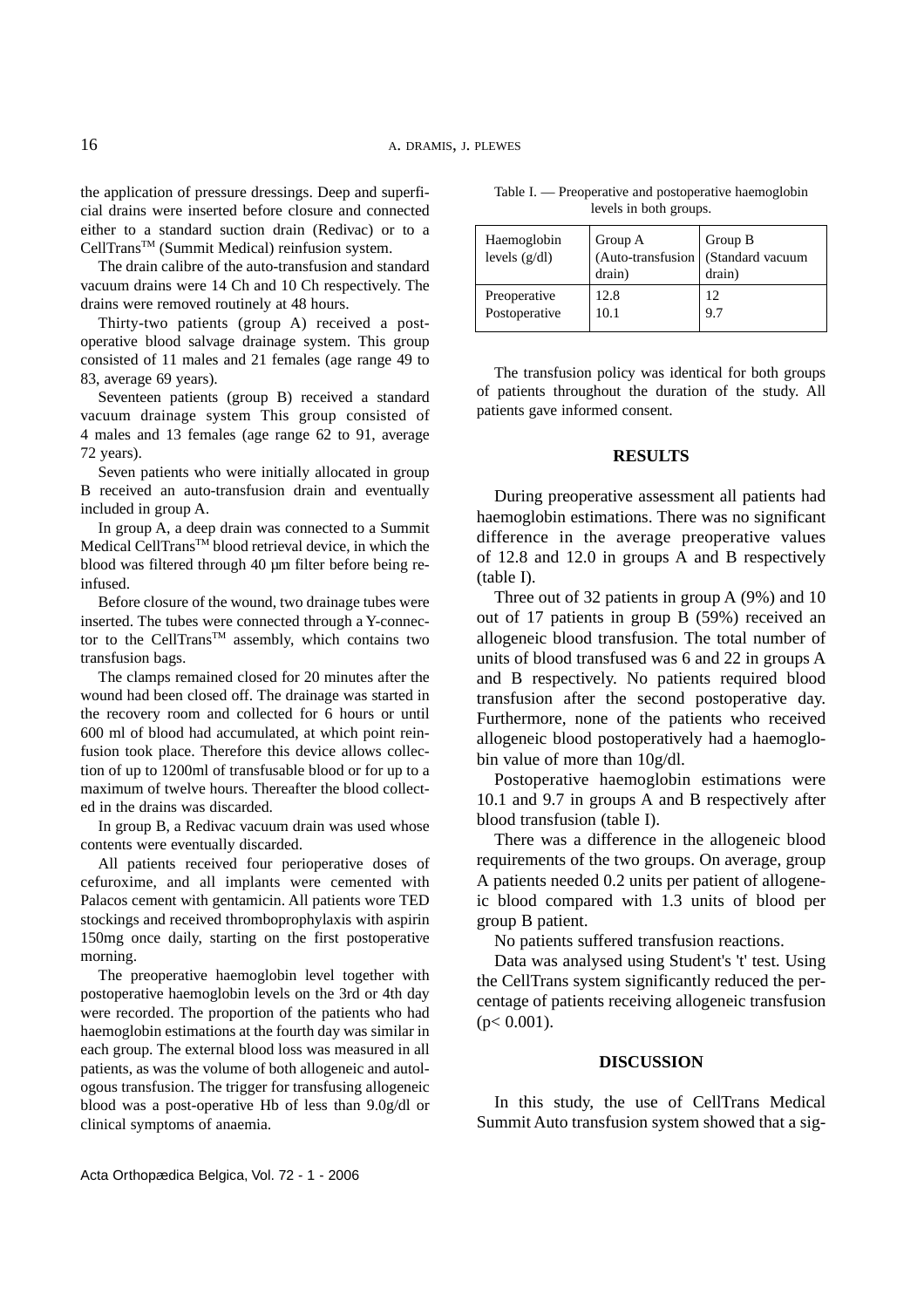the application of pressure dressings. Deep and superficial drains were inserted before closure and connected either to a standard suction drain (Redivac) or to a CellTrans<sup>™</sup> (Summit Medical) reinfusion system.

The drain calibre of the auto-transfusion and standard vacuum drains were 14 Ch and 10 Ch respectively. The drains were removed routinely at 48 hours.

Thirty-two patients (group A) received a postoperative blood salvage drainage system. This group consisted of 11 males and 21 females (age range 49 to 83, average 69 years).

Seventeen patients (group B) received a standard vacuum drainage system This group consisted of 4 males and 13 females (age range 62 to 91, average 72 years).

Seven patients who were initially allocated in group B received an auto-transfusion drain and eventually included in group A.

In group A, a deep drain was connected to a Summit Medical CellTrans<sup>™</sup> blood retrieval device, in which the blood was filtered through 40 µm filter before being reinfused.

Before closure of the wound, two drainage tubes were inserted. The tubes were connected through a Y-connector to the CellTrans<sup>TM</sup> assembly, which contains two transfusion bags.

The clamps remained closed for 20 minutes after the wound had been closed off. The drainage was started in the recovery room and collected for 6 hours or until 600 ml of blood had accumulated, at which point reinfusion took place. Therefore this device allows collection of up to 1200ml of transfusable blood or for up to a maximum of twelve hours. Thereafter the blood collected in the drains was discarded.

In group B, a Redivac vacuum drain was used whose contents were eventually discarded.

All patients received four perioperative doses of cefuroxime, and all implants were cemented with Palacos cement with gentamicin. All patients wore TED stockings and received thromboprophylaxis with aspirin 150mg once daily, starting on the first postoperative morning.

The preoperative haemoglobin level together with postoperative haemoglobin levels on the 3rd or 4th day were recorded. The proportion of the patients who had haemoglobin estimations at the fourth day was similar in each group. The external blood loss was measured in all patients, as was the volume of both allogeneic and autologous transfusion. The trigger for transfusing allogeneic blood was a post-operative Hb of less than 9.0g/dl or clinical symptoms of anaemia.

Table I. — Preoperative and postoperative haemoglobin levels in both groups.

| Haemoglobin<br>levels $(g/dl)$ | Group A<br>$(Auto-transfusion$<br>drain) | Group B<br>(Standard vacuum<br>drain) |
|--------------------------------|------------------------------------------|---------------------------------------|
| Preoperative                   | 12.8                                     | 12                                    |
| Postoperative                  | 10.1                                     | 9.7                                   |

The transfusion policy was identical for both groups of patients throughout the duration of the study. All patients gave informed consent.

### **RESULTS**

During preoperative assessment all patients had haemoglobin estimations. There was no significant difference in the average preoperative values of 12.8 and 12.0 in groups A and B respectively (table I).

Three out of 32 patients in group A (9%) and 10 out of 17 patients in group B (59%) received an allogeneic blood transfusion. The total number of units of blood transfused was 6 and 22 in groups A and B respectively. No patients required blood transfusion after the second postoperative day. Furthermore, none of the patients who received allogeneic blood postoperatively had a haemoglobin value of more than 10g/dl.

Postoperative haemoglobin estimations were 10.1 and 9.7 in groups A and B respectively after blood transfusion (table I).

There was a difference in the allogeneic blood requirements of the two groups. On average, group A patients needed 0.2 units per patient of allogeneic blood compared with 1.3 units of blood per group B patient.

No patients suffered transfusion reactions.

Data was analysed using Student's 't' test. Using the CellTrans system significantly reduced the percentage of patients receiving allogeneic transfusion  $(p< 0.001)$ .

#### **DISCUSSION**

In this study, the use of CellTrans Medical Summit Auto transfusion system showed that a sig